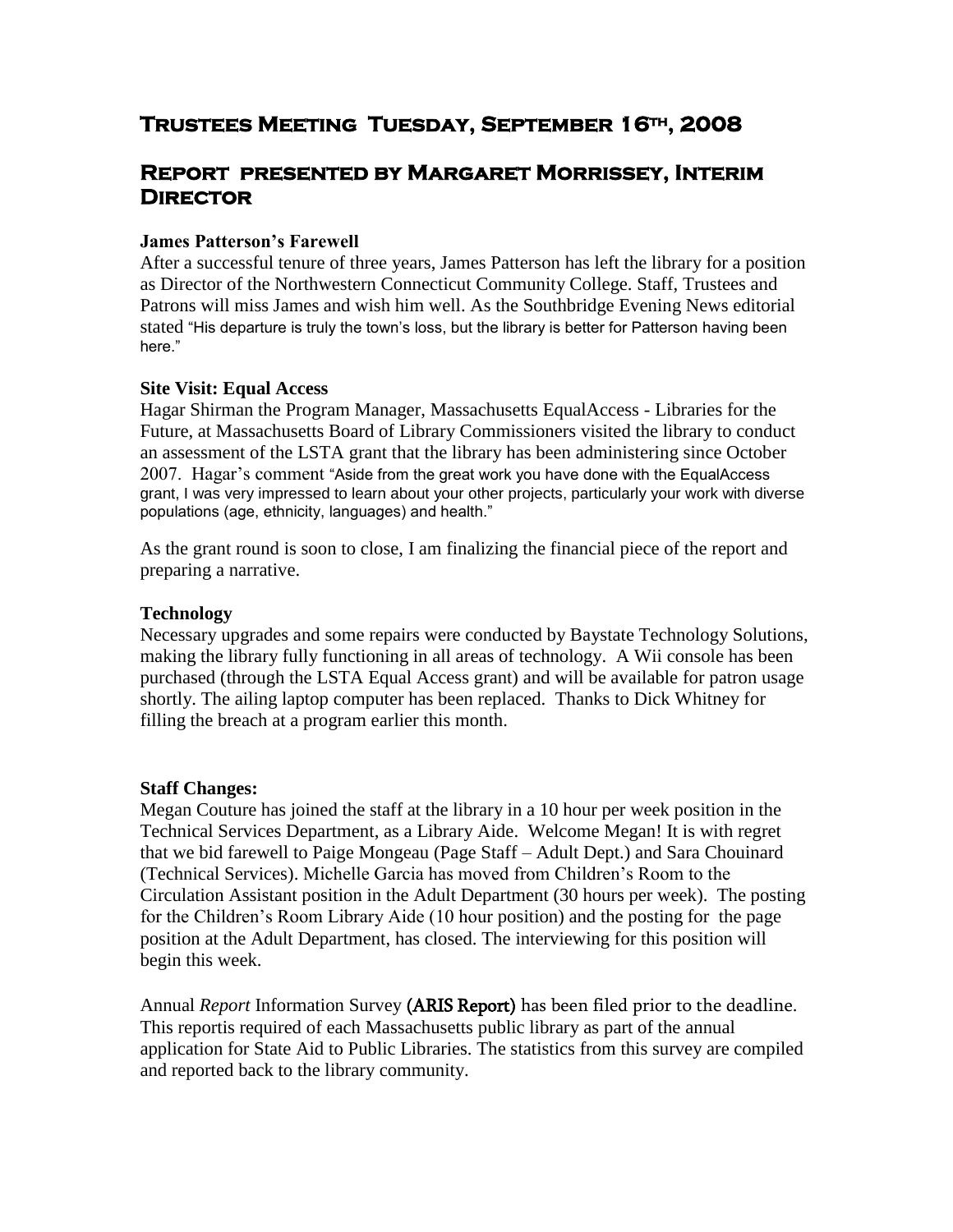# **Trustees Meeting Tuesday, September 16th, 2008**

## **Report presented by Margaret Morrissey, Interim Director**

#### **James Patterson's Farewell**

After a successful tenure of three years, James Patterson has left the library for a position as Director of the Northwestern Connecticut Community College. Staff, Trustees and Patrons will miss James and wish him well. As the Southbridge Evening News editorial stated "His departure is truly the town's loss, but the library is better for Patterson having been here."

#### **Site Visit: Equal Access**

Hagar Shirman the Program Manager, Massachusetts EqualAccess - Libraries for the Future, at Massachusetts Board of Library Commissioners visited the library to conduct an assessment of the LSTA grant that the library has been administering since October 2007. Hagar's comment "Aside from the great work you have done with the EqualAccess grant, I was very impressed to learn about your other projects, particularly your work with diverse populations (age, ethnicity, languages) and health."

As the grant round is soon to close, I am finalizing the financial piece of the report and preparing a narrative.

#### **Technology**

Necessary upgrades and some repairs were conducted by Baystate Technology Solutions, making the library fully functioning in all areas of technology. A Wii console has been purchased (through the LSTA Equal Access grant) and will be available for patron usage shortly. The ailing laptop computer has been replaced. Thanks to Dick Whitney for filling the breach at a program earlier this month.

#### **Staff Changes:**

Megan Couture has joined the staff at the library in a 10 hour per week position in the Technical Services Department, as a Library Aide. Welcome Megan! It is with regret that we bid farewell to Paige Mongeau (Page Staff – Adult Dept.) and Sara Chouinard (Technical Services). Michelle Garcia has moved from Children's Room to the Circulation Assistant position in the Adult Department (30 hours per week). The posting for the Children's Room Library Aide (10 hour position) and the posting for the page position at the Adult Department, has closed. The interviewing for this position will begin this week.

Annual *Report* Information Survey (ARIS Report) has been filed prior to the deadline. This reportis required of each Massachusetts public library as part of the annual application for State Aid to Public Libraries. The statistics from this survey are compiled and reported back to the library community.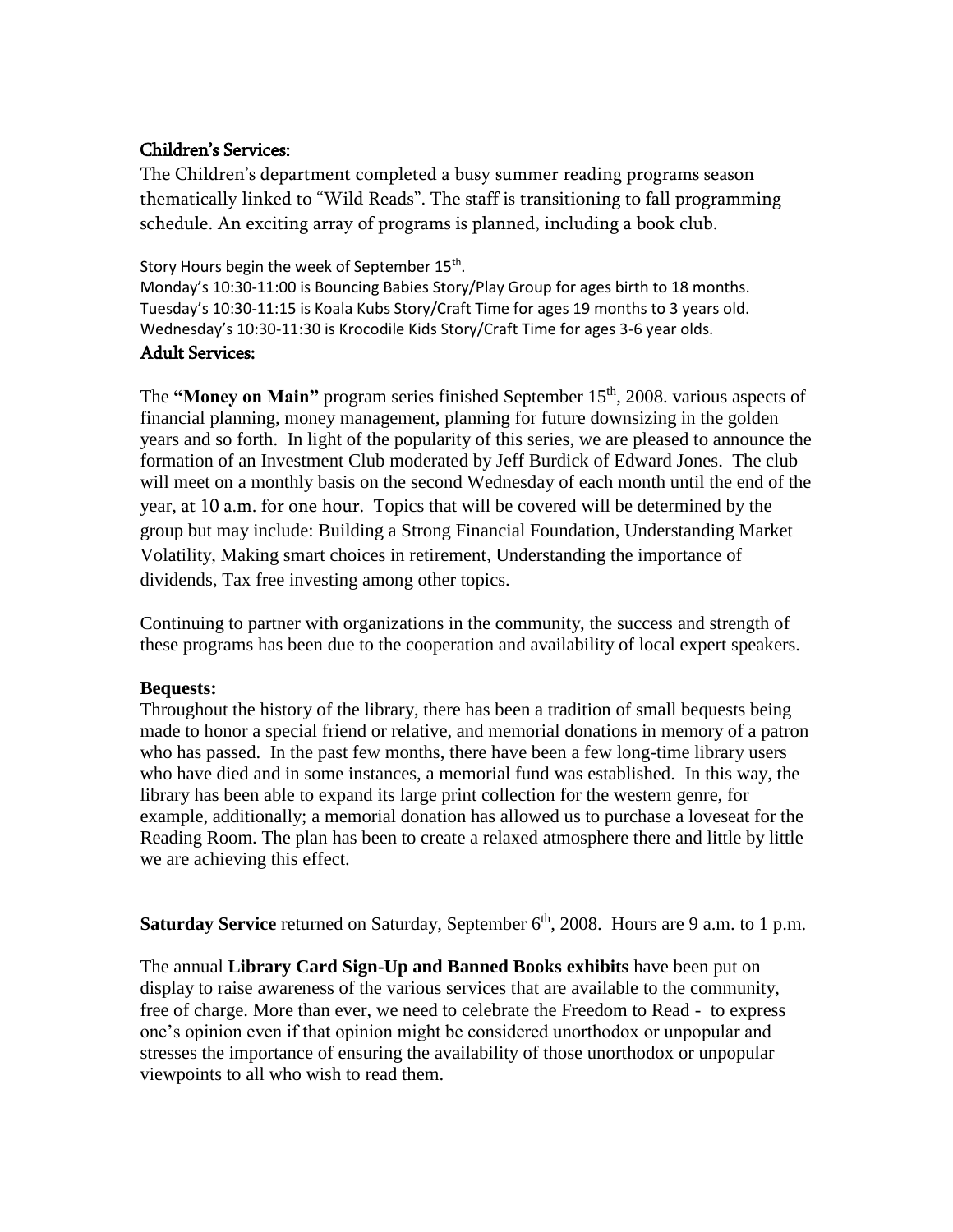## Children's Services:

The Children's department completed a busy summer reading programs season thematically linked to "Wild Reads". The staff is transitioning to fall programming schedule. An exciting array of programs is planned, including a book club.

Story Hours begin the week of September 15<sup>th</sup>. Monday's 10:30-11:00 is Bouncing Babies Story/Play Group for ages birth to 18 months. Tuesday's 10:30-11:15 is Koala Kubs Story/Craft Time for ages 19 months to 3 years old. Wednesday's 10:30-11:30 is Krocodile Kids Story/Craft Time for ages 3-6 year olds.

## Adult Services:

The **"Money on Main"** program series finished September 15<sup>th</sup>, 2008. various aspects of financial planning, money management, planning for future downsizing in the golden years and so forth. In light of the popularity of this series, we are pleased to announce the formation of an Investment Club moderated by Jeff Burdick of Edward Jones. The club will meet on a monthly basis on the second Wednesday of each month until the end of the year, at 10 a.m. for one hour. Topics that will be covered will be determined by the group but may include: Building a Strong Financial Foundation, Understanding Market Volatility, Making smart choices in retirement, Understanding the importance of dividends, Tax free investing among other topics.

Continuing to partner with organizations in the community, the success and strength of these programs has been due to the cooperation and availability of local expert speakers.

## **Bequests:**

Throughout the history of the library, there has been a tradition of small bequests being made to honor a special friend or relative, and memorial donations in memory of a patron who has passed. In the past few months, there have been a few long-time library users who have died and in some instances, a memorial fund was established. In this way, the library has been able to expand its large print collection for the western genre, for example, additionally; a memorial donation has allowed us to purchase a loveseat for the Reading Room. The plan has been to create a relaxed atmosphere there and little by little we are achieving this effect.

**Saturday Service** returned on Saturday, September 6<sup>th</sup>, 2008. Hours are 9 a.m. to 1 p.m.

The annual **Library Card Sign-Up and Banned Books exhibits** have been put on display to raise awareness of the various services that are available to the community, free of charge. More than ever, we need to celebrate the Freedom to Read - to express one's opinion even if that opinion might be considered unorthodox or unpopular and stresses the importance of ensuring the availability of those unorthodox or unpopular viewpoints to all who wish to read them.